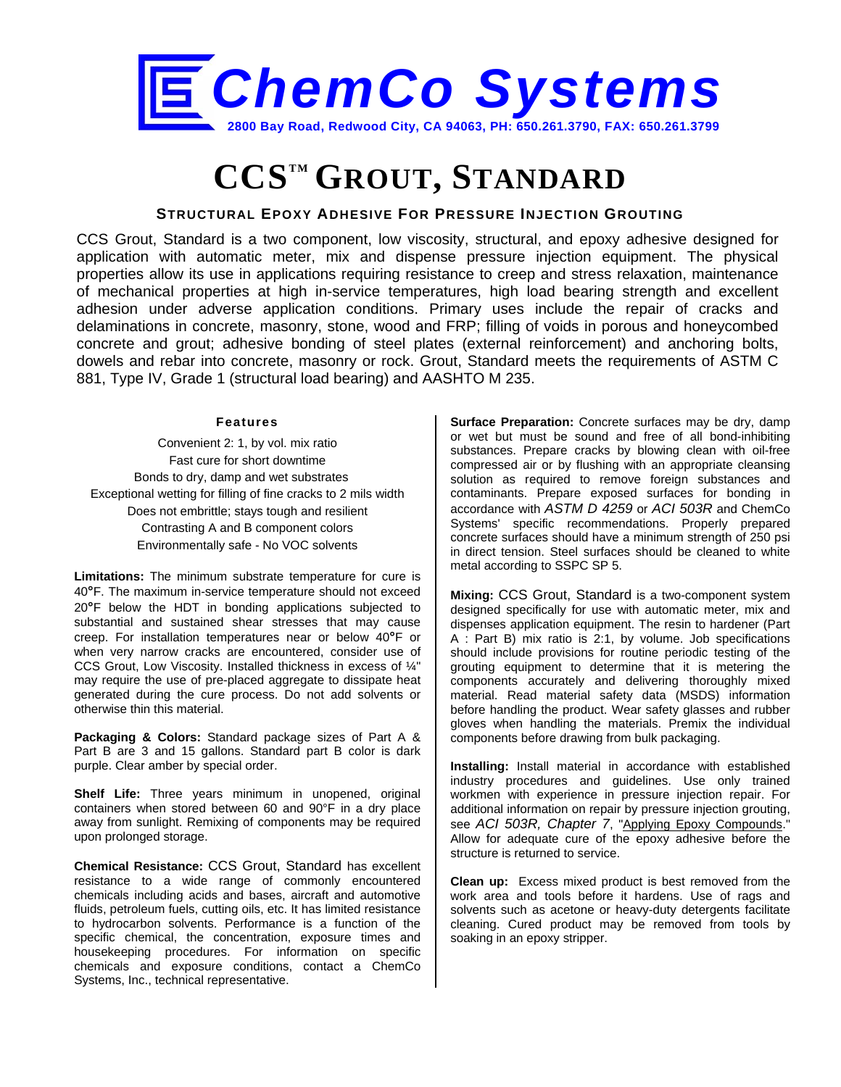

## **CCSTM GROUT, STANDARD**

## **STRUCTURAL EPOXY ADHESIVE FOR PRESSURE INJECTION GROUTING**

CCS Grout, Standard is a two component, low viscosity, structural, and epoxy adhesive designed for application with automatic meter, mix and dispense pressure injection equipment. The physical properties allow its use in applications requiring resistance to creep and stress relaxation, maintenance of mechanical properties at high in-service temperatures, high load bearing strength and excellent adhesion under adverse application conditions. Primary uses include the repair of cracks and delaminations in concrete, masonry, stone, wood and FRP; filling of voids in porous and honeycombed concrete and grout; adhesive bonding of steel plates (external reinforcement) and anchoring bolts, dowels and rebar into concrete, masonry or rock. Grout, Standard meets the requirements of ASTM C 881, Type IV, Grade 1 (structural load bearing) and AASHTO M 235.

## **Features**

Convenient 2: 1, by vol. mix ratio Fast cure for short downtime Bonds to dry, damp and wet substrates Exceptional wetting for filling of fine cracks to 2 mils width Does not embrittle; stays tough and resilient Contrasting A and B component colors Environmentally safe - No VOC solvents

**Limitations:** The minimum substrate temperature for cure is 40**°**F. The maximum in-service temperature should not exceed 20**°**F below the HDT in bonding applications subjected to substantial and sustained shear stresses that may cause creep. For installation temperatures near or below 40**°**F or when very narrow cracks are encountered, consider use of CCS Grout, Low Viscosity. Installed thickness in excess of ¼" may require the use of pre-placed aggregate to dissipate heat generated during the cure process. Do not add solvents or otherwise thin this material.

**Packaging & Colors:** Standard package sizes of Part A & Part B are 3 and 15 gallons. Standard part B color is dark purple. Clear amber by special order.

**Shelf Life:** Three years minimum in unopened, original containers when stored between 60 and 90°F in a dry place away from sunlight. Remixing of components may be required upon prolonged storage.

**Chemical Resistance:** CCS Grout, Standard has excellent resistance to a wide range of commonly encountered chemicals including acids and bases, aircraft and automotive fluids, petroleum fuels, cutting oils, etc. It has limited resistance to hydrocarbon solvents. Performance is a function of the specific chemical, the concentration, exposure times and housekeeping procedures. For information on specific chemicals and exposure conditions, contact a ChemCo Systems, Inc., technical representative.

**Surface Preparation:** Concrete surfaces may be dry, damp or wet but must be sound and free of all bond-inhibiting substances. Prepare cracks by blowing clean with oil-free compressed air or by flushing with an appropriate cleansing solution as required to remove foreign substances and contaminants. Prepare exposed surfaces for bonding in accordance with *ASTM D 4259* or *ACI 503R* and ChemCo Systems' specific recommendations. Properly prepared concrete surfaces should have a minimum strength of 250 psi in direct tension. Steel surfaces should be cleaned to white metal according to SSPC SP 5.

**Mixing:** CCS Grout, Standard is a two-component system designed specifically for use with automatic meter, mix and dispenses application equipment. The resin to hardener (Part A : Part B) mix ratio is 2:1, by volume. Job specifications should include provisions for routine periodic testing of the grouting equipment to determine that it is metering the components accurately and delivering thoroughly mixed material. Read material safety data (MSDS) information before handling the product. Wear safety glasses and rubber gloves when handling the materials. Premix the individual components before drawing from bulk packaging.

**Installing:** Install material in accordance with established industry procedures and guidelines. Use only trained workmen with experience in pressure injection repair. For additional information on repair by pressure injection grouting, see *ACI 503R, Chapter 7*, "Applying Epoxy Compounds." Allow for adequate cure of the epoxy adhesive before the structure is returned to service.

**Clean up:** Excess mixed product is best removed from the work area and tools before it hardens. Use of rags and solvents such as acetone or heavy-duty detergents facilitate cleaning. Cured product may be removed from tools by soaking in an epoxy stripper.